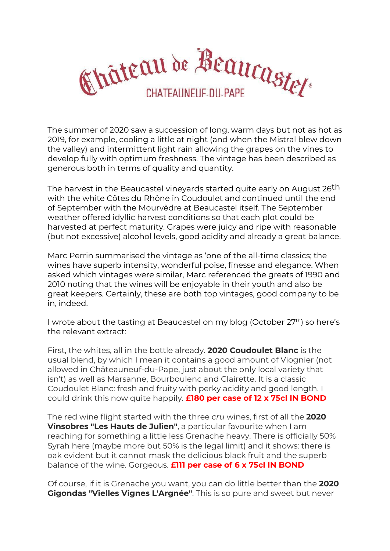

The summer of 2020 saw a succession of long, warm days but not as hot as 2019, for example, cooling a little at night (and when the Mistral blew down the valley) and intermittent light rain allowing the grapes on the vines to develop fully with optimum freshness. The vintage has been described as generous both in terms of quality and quantity.

The harvest in the Beaucastel vineyards started quite early on August 26<sup>th</sup> with the white Côtes du Rhône in Coudoulet and continued until the end of September with the Mourvèdre at Beaucastel itself. The September weather offered idyllic harvest conditions so that each plot could be harvested at perfect maturity. Grapes were juicy and ripe with reasonable (but not excessive) alcohol levels, good acidity and already a great balance.

Marc Perrin summarised the vintage as 'one of the all-time classics; the wines have superb intensity, wonderful poise, finesse and elegance. When asked which vintages were similar, Marc referenced the greats of 1990 and 2010 noting that the wines will be enjoyable in their youth and also be great keepers. Certainly, these are both top vintages, good company to be in, indeed.

I wrote about the tasting at Beaucastel on my blog (October 27<sup>th</sup>) so here's the relevant extract:

First, the whites, all in the bottle already. **2020 Coudoulet Blanc** is the usual blend, by which I mean it contains a good amount of Viognier (not allowed in Châteauneuf-du-Pape, just about the only local variety that isn't) as well as Marsanne, Bourboulenc and Clairette. It is a classic Coudoulet Blanc: fresh and fruity with perky acidity and good length. I could drink this now quite happily. **£180 per case of 12 x 75cl IN BOND**

The red wine flight started with the three *cru* wines, first of all the **2020 Vinsobres "Les Hauts de Julien"**, a particular favourite when I am reaching for something a little less Grenache heavy. There is officially 50% Syrah here (maybe more but 50% is the legal limit) and it shows: there is oak evident but it cannot mask the delicious black fruit and the superb balance of the wine. Gorgeous. **£111 per case of 6 x 75cl IN BOND**

Of course, if it is Grenache you want, you can do little better than the **2020 Gigondas "Vielles Vignes L'Argnée"**. This is so pure and sweet but never